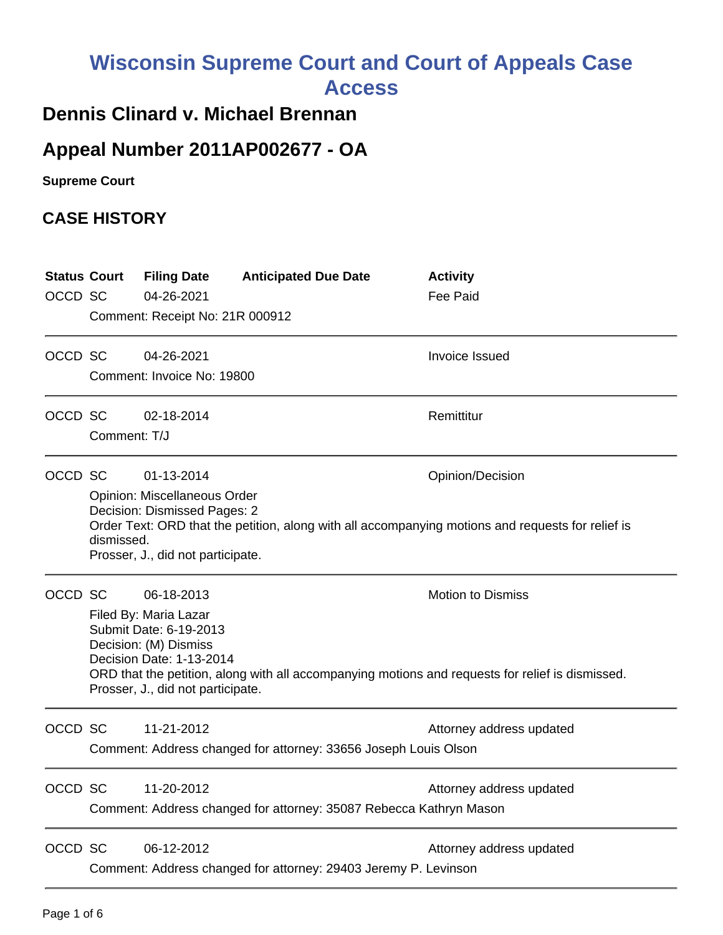# **Wisconsin Supreme Court and Court of Appeals Case Access**

# **Dennis Clinard v. Michael Brennan**

# **Appeal Number 2011AP002677 - OA**

**Supreme Court** 

## **CASE HISTORY**

| <b>Status Court</b><br>OCCD SC |                                                                                                                                                                                                                                                        | <b>Filing Date</b><br>04-26-2021<br>Comment: Receipt No: 21R 000912                                                                                     | <b>Anticipated Due Date</b>                                        | <b>Activity</b><br><b>Fee Paid</b>                                                                                           |
|--------------------------------|--------------------------------------------------------------------------------------------------------------------------------------------------------------------------------------------------------------------------------------------------------|---------------------------------------------------------------------------------------------------------------------------------------------------------|--------------------------------------------------------------------|------------------------------------------------------------------------------------------------------------------------------|
| OCCD SC                        |                                                                                                                                                                                                                                                        | 04-26-2021<br>Comment: Invoice No: 19800                                                                                                                |                                                                    | <b>Invoice Issued</b>                                                                                                        |
| OCCD SC                        | Comment: T/J                                                                                                                                                                                                                                           | 02-18-2014                                                                                                                                              |                                                                    | Remittitur                                                                                                                   |
| OCCD SC                        | 01-13-2014<br>Opinion/Decision<br>Opinion: Miscellaneous Order<br>Decision: Dismissed Pages: 2<br>Order Text: ORD that the petition, along with all accompanying motions and requests for relief is<br>dismissed.<br>Prosser, J., did not participate. |                                                                                                                                                         |                                                                    |                                                                                                                              |
| OCCD SC                        |                                                                                                                                                                                                                                                        | 06-18-2013<br>Filed By: Maria Lazar<br>Submit Date: 6-19-2013<br>Decision: (M) Dismiss<br>Decision Date: 1-13-2014<br>Prosser, J., did not participate. |                                                                    | <b>Motion to Dismiss</b><br>ORD that the petition, along with all accompanying motions and requests for relief is dismissed. |
| OCCD SC                        |                                                                                                                                                                                                                                                        | 11-21-2012                                                                                                                                              | Comment: Address changed for attorney: 33656 Joseph Louis Olson    | Attorney address updated                                                                                                     |
| OCCD SC                        |                                                                                                                                                                                                                                                        | 11-20-2012                                                                                                                                              | Comment: Address changed for attorney: 35087 Rebecca Kathryn Mason | Attorney address updated                                                                                                     |
| OCCD SC                        |                                                                                                                                                                                                                                                        | 06-12-2012                                                                                                                                              | Comment: Address changed for attorney: 29403 Jeremy P. Levinson    | Attorney address updated                                                                                                     |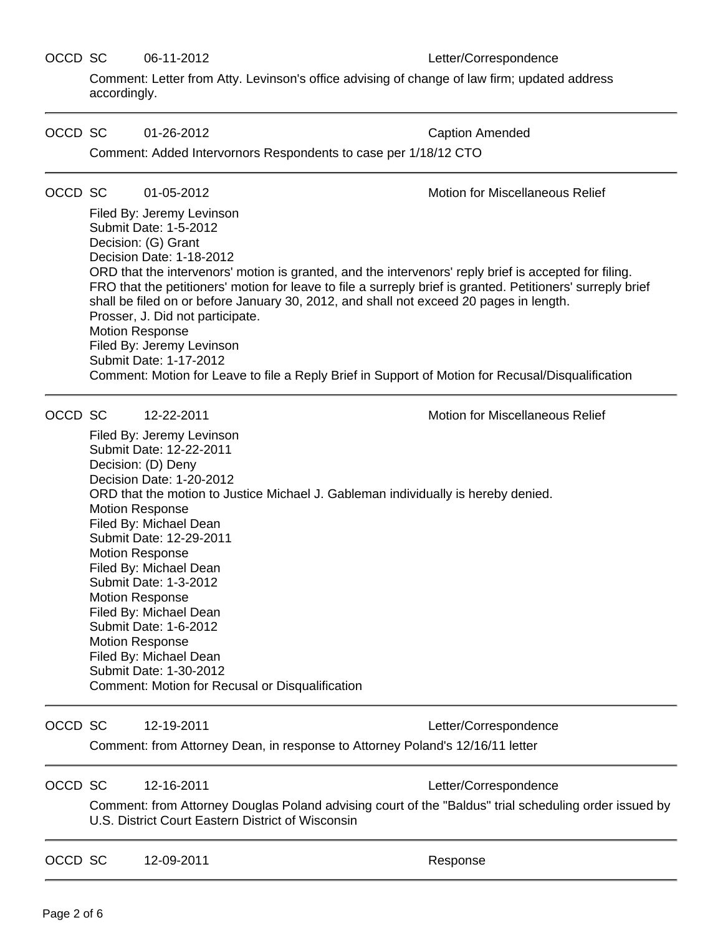## OCCD SC 06-11-2012 Letter/Correspondence

Comment: Letter from Atty. Levinson's office advising of change of law firm; updated address accordingly.

## OCCD SC 01-26-2012 Caption Amended

Comment: Added Intervornors Respondents to case per 1/18/12 CTO

## OCCD SC 01-05-2012 Motion for Miscellaneous Relief

Filed By: Jeremy Levinson Submit Date: 1-5-2012 Decision: (G) Grant Decision Date: 1-18-2012 ORD that the intervenors' motion is granted, and the intervenors' reply brief is accepted for filing. FRO that the petitioners' motion for leave to file a surreply brief is granted. Petitioners' surreply brief shall be filed on or before January 30, 2012, and shall not exceed 20 pages in length. Prosser, J. Did not participate. Motion Response Filed By: Jeremy Levinson Submit Date: 1-17-2012 Comment: Motion for Leave to file a Reply Brief in Support of Motion for Recusal/Disqualification

OCCD SC 12-22-2011 Motion for Miscellaneous Relief

Filed By: Jeremy Levinson Submit Date: 12-22-2011 Decision: (D) Deny Decision Date: 1-20-2012 ORD that the motion to Justice Michael J. Gableman individually is hereby denied. Motion Response Filed By: Michael Dean Submit Date: 12-29-2011 Motion Response Filed By: Michael Dean Submit Date: 1-3-2012 Motion Response Filed By: Michael Dean Submit Date: 1-6-2012 Motion Response Filed By: Michael Dean Submit Date: 1-30-2012 Comment: Motion for Recusal or Disqualification

OCCD SC 12-19-2011 Letter/Correspondence

Comment: from Attorney Dean, in response to Attorney Poland's 12/16/11 letter

OCCD SC 12-16-2011 Letter/Correspondence

Comment: from Attorney Douglas Poland advising court of the "Baldus" trial scheduling order issued by U.S. District Court Eastern District of Wisconsin

OCCD SC 12-09-2011 and the second response Response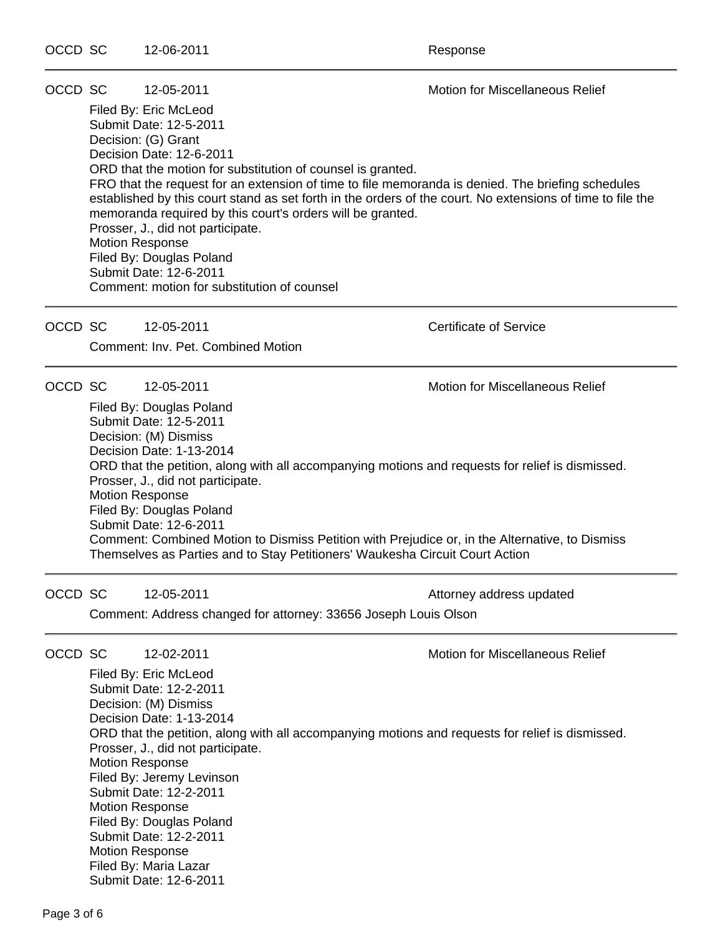OCCD SC 12-05-2011 Motion for Miscellaneous Relief

Filed By: Eric McLeod Submit Date: 12-5-2011 Decision: (G) Grant Decision Date: 12-6-2011 ORD that the motion for substitution of counsel is granted. FRO that the request for an extension of time to file memoranda is denied. The briefing schedules established by this court stand as set forth in the orders of the court. No extensions of time to file the memoranda required by this court's orders will be granted. Prosser, J., did not participate. Motion Response Filed By: Douglas Poland Submit Date: 12-6-2011 Comment: motion for substitution of counsel

OCCD SC 12-05-2011 Certificate of Service

Comment: Inv. Pet. Combined Motion

OCCD SC 12-05-2011 Motion for Miscellaneous Relief

Filed By: Douglas Poland Submit Date: 12-5-2011 Decision: (M) Dismiss Decision Date: 1-13-2014 ORD that the petition, along with all accompanying motions and requests for relief is dismissed. Prosser, J., did not participate. Motion Response Filed By: Douglas Poland Submit Date: 12-6-2011 Comment: Combined Motion to Dismiss Petition with Prejudice or, in the Alternative, to Dismiss Themselves as Parties and to Stay Petitioners' Waukesha Circuit Court Action

OCCD SC 12-05-2011 **Attorney address updated** 

Comment: Address changed for attorney: 33656 Joseph Louis Olson

OCCD SC 12-02-2011 Motion for Miscellaneous Relief

Filed By: Eric McLeod Submit Date: 12-2-2011 Decision: (M) Dismiss Decision Date: 1-13-2014 ORD that the petition, along with all accompanying motions and requests for relief is dismissed. Prosser, J., did not participate. Motion Response Filed By: Jeremy Levinson Submit Date: 12-2-2011 Motion Response Filed By: Douglas Poland Submit Date: 12-2-2011 Motion Response Filed By: Maria Lazar Submit Date: 12-6-2011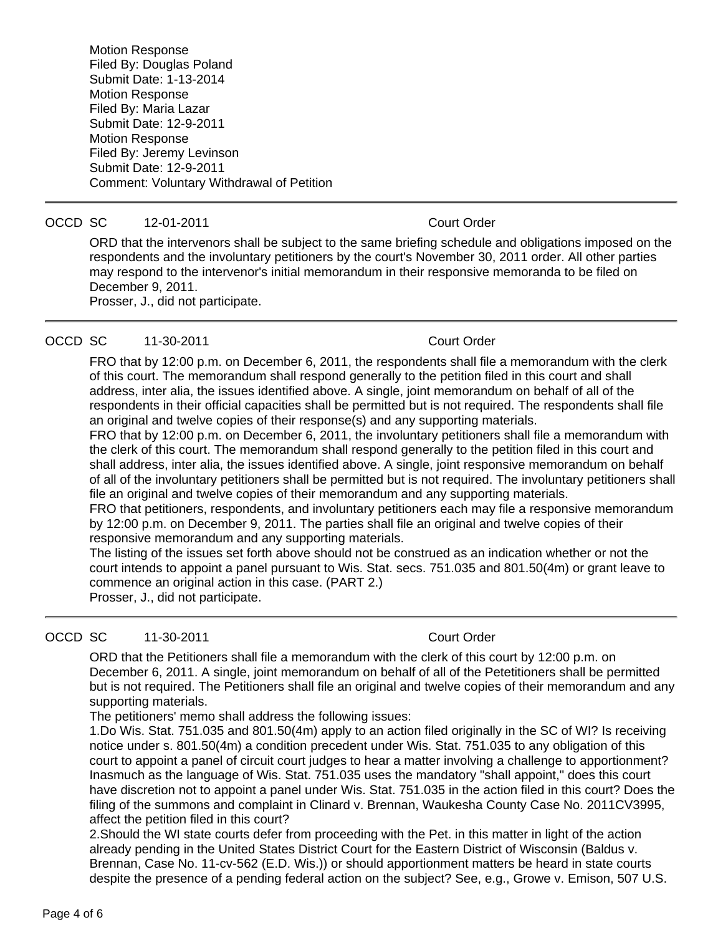Motion Response Filed By: Douglas Poland Submit Date: 1-13-2014 Motion Response Filed By: Maria Lazar Submit Date: 12-9-2011 Motion Response Filed By: Jeremy Levinson Submit Date: 12-9-2011 Comment: Voluntary Withdrawal of Petition

### OCCD SC 12-01-2011 Court Order

ORD that the intervenors shall be subject to the same briefing schedule and obligations imposed on the respondents and the involuntary petitioners by the court's November 30, 2011 order. All other parties may respond to the intervenor's initial memorandum in their responsive memoranda to be filed on December 9, 2011.

Prosser, J., did not participate.

## OCCD SC 11-30-2011 Court Order

FRO that by 12:00 p.m. on December 6, 2011, the respondents shall file a memorandum with the clerk of this court. The memorandum shall respond generally to the petition filed in this court and shall address, inter alia, the issues identified above. A single, joint memorandum on behalf of all of the respondents in their official capacities shall be permitted but is not required. The respondents shall file an original and twelve copies of their response(s) and any supporting materials.

FRO that by 12:00 p.m. on December 6, 2011, the involuntary petitioners shall file a memorandum with the clerk of this court. The memorandum shall respond generally to the petition filed in this court and shall address, inter alia, the issues identified above. A single, joint responsive memorandum on behalf of all of the involuntary petitioners shall be permitted but is not required. The involuntary petitioners shall file an original and twelve copies of their memorandum and any supporting materials.

FRO that petitioners, respondents, and involuntary petitioners each may file a responsive memorandum by 12:00 p.m. on December 9, 2011. The parties shall file an original and twelve copies of their responsive memorandum and any supporting materials.

The listing of the issues set forth above should not be construed as an indication whether or not the court intends to appoint a panel pursuant to Wis. Stat. secs. 751.035 and 801.50(4m) or grant leave to commence an original action in this case. (PART 2.)

Prosser, J., did not participate.

OCCD SC 11-30-2011 Court Order

ORD that the Petitioners shall file a memorandum with the clerk of this court by 12:00 p.m. on December 6, 2011. A single, joint memorandum on behalf of all of the Petetitioners shall be permitted but is not required. The Petitioners shall file an original and twelve copies of their memorandum and any supporting materials.

The petitioners' memo shall address the following issues:

1.Do Wis. Stat. 751.035 and 801.50(4m) apply to an action filed originally in the SC of WI? Is receiving notice under s. 801.50(4m) a condition precedent under Wis. Stat. 751.035 to any obligation of this court to appoint a panel of circuit court judges to hear a matter involving a challenge to apportionment? Inasmuch as the language of Wis. Stat. 751.035 uses the mandatory "shall appoint," does this court have discretion not to appoint a panel under Wis. Stat. 751.035 in the action filed in this court? Does the filing of the summons and complaint in Clinard v. Brennan, Waukesha County Case No. 2011CV3995, affect the petition filed in this court?

2.Should the WI state courts defer from proceeding with the Pet. in this matter in light of the action already pending in the United States District Court for the Eastern District of Wisconsin (Baldus v. Brennan, Case No. 11-cv-562 (E.D. Wis.)) or should apportionment matters be heard in state courts despite the presence of a pending federal action on the subject? See, e.g., Growe v. Emison, 507 U.S.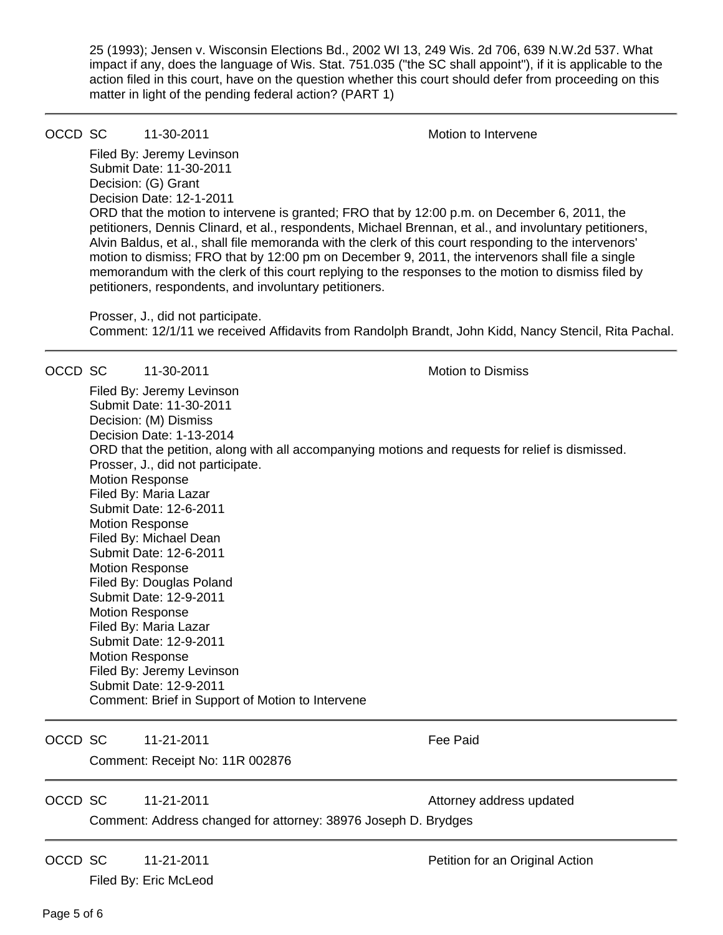25 (1993); Jensen v. Wisconsin Elections Bd., 2002 WI 13, 249 Wis. 2d 706, 639 N.W.2d 537. What impact if any, does the language of Wis. Stat. 751.035 ("the SC shall appoint"), if it is applicable to the action filed in this court, have on the question whether this court should defer from proceeding on this matter in light of the pending federal action? (PART 1)

## OCCD SC 11-30-2011 1. The Motion to Intervene

Filed By: Jeremy Levinson Submit Date: 11-30-2011 Decision: (G) Grant Decision Date: 12-1-2011 ORD that the motion to intervene is granted; FRO that by 12:00 p.m. on December 6, 2011, the petitioners, Dennis Clinard, et al., respondents, Michael Brennan, et al., and involuntary petitioners, Alvin Baldus, et al., shall file memoranda with the clerk of this court responding to the intervenors' motion to dismiss; FRO that by 12:00 pm on December 9, 2011, the intervenors shall file a single memorandum with the clerk of this court replying to the responses to the motion to dismiss filed by petitioners, respondents, and involuntary petitioners.

Prosser, J., did not participate. Comment: 12/1/11 we received Affidavits from Randolph Brandt, John Kidd, Nancy Stencil, Rita Pachal.

OCCD SC 11-30-2011 **Motion** Motion to Dismiss Filed By: Jeremy Levinson Submit Date: 11-30-2011 Decision: (M) Dismiss Decision Date: 1-13-2014 ORD that the petition, along with all accompanying motions and requests for relief is dismissed. Prosser, J., did not participate. Motion Response Filed By: Maria Lazar Submit Date: 12-6-2011 Motion Response Filed By: Michael Dean Submit Date: 12-6-2011 Motion Response Filed By: Douglas Poland Submit Date: 12-9-2011 Motion Response Filed By: Maria Lazar Submit Date: 12-9-2011 Motion Response Filed By: Jeremy Levinson Submit Date: 12-9-2011 Comment: Brief in Support of Motion to Intervene OCCD SC 11-21-2011 **Fee Paid** Comment: Receipt No: 11R 002876 OCCD SC 11-21-2011 **Attorney address updated** Comment: Address changed for attorney: 38976 Joseph D. Brydges OCCD SC 11-21-2011 Petition for an Original Action

Filed By: Eric McLeod